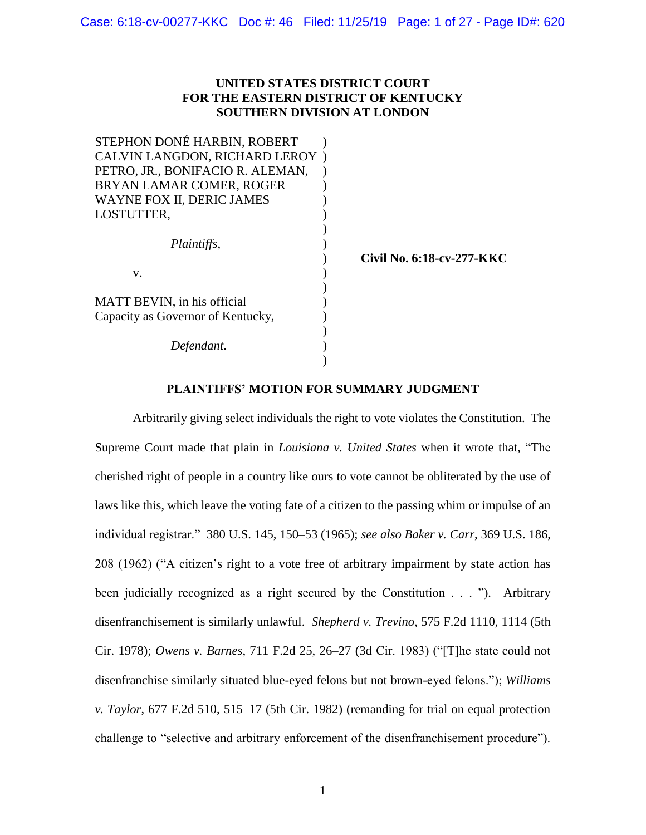### **UNITED STATES DISTRICT COURT FOR THE EASTERN DISTRICT OF KENTUCKY SOUTHERN DIVISION AT LONDON**

| STEPHON DONÉ HARBIN, ROBERT          |                           |
|--------------------------------------|---------------------------|
| <b>CALVIN LANGDON, RICHARD LEROY</b> |                           |
| PETRO, JR., BONIFACIO R. ALEMAN,     |                           |
| BRYAN LAMAR COMER, ROGER             |                           |
| WAYNE FOX II, DERIC JAMES            |                           |
| LOSTUTTER,                           |                           |
|                                      |                           |
| Plaintiffs,                          |                           |
|                                      | Civil No. 6:18-cv-277-KKC |
| V.                                   |                           |
|                                      |                           |
| MATT BEVIN, in his official          |                           |
| Capacity as Governor of Kentucky,    |                           |
|                                      |                           |
| Defendant.                           |                           |
|                                      |                           |

### **PLAINTIFFS' MOTION FOR SUMMARY JUDGMENT**

Arbitrarily giving select individuals the right to vote violates the Constitution. The Supreme Court made that plain in *Louisiana v. United States* when it wrote that, "The cherished right of people in a country like ours to vote cannot be obliterated by the use of laws like this, which leave the voting fate of a citizen to the passing whim or impulse of an individual registrar." 380 U.S. 145, 150–53 (1965); *see also Baker v. Carr*, 369 U.S. 186, 208 (1962) ("A citizen's right to a vote free of arbitrary impairment by state action has been judicially recognized as a right secured by the Constitution . . . ")*.* Arbitrary disenfranchisement is similarly unlawful. *Shepherd v. Trevino*, 575 F.2d 1110, 1114 (5th Cir. 1978); *Owens v. Barnes*, 711 F.2d 25, 26–27 (3d Cir. 1983) ("[T]he state could not disenfranchise similarly situated blue-eyed felons but not brown-eyed felons."); *Williams v. Taylor*, 677 F.2d 510, 515–17 (5th Cir. 1982) (remanding for trial on equal protection challenge to "selective and arbitrary enforcement of the disenfranchisement procedure").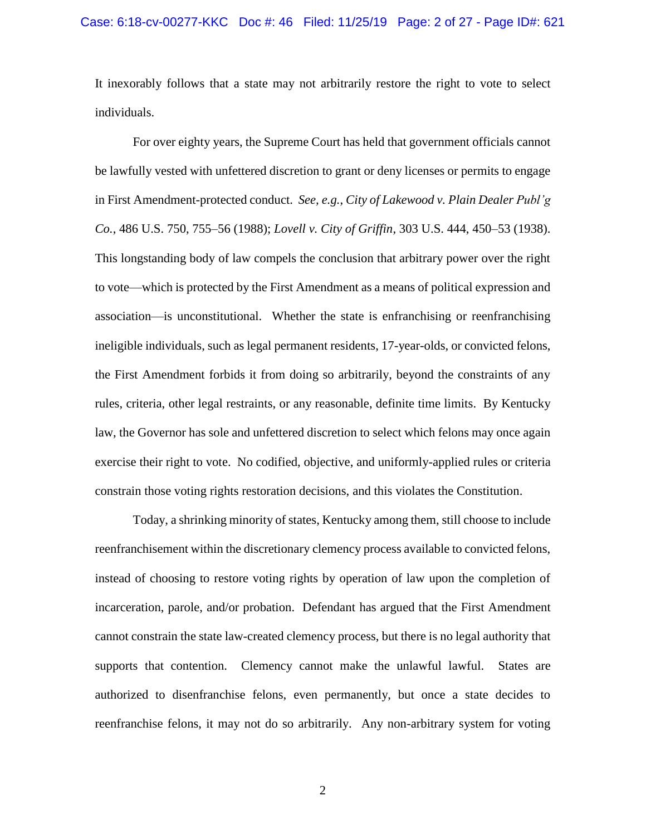#### Case: 6:18-cv-00277-KKC Doc #: 46 Filed: 11/25/19 Page: 2 of 27 - Page ID#: 621

It inexorably follows that a state may not arbitrarily restore the right to vote to select individuals.

For over eighty years, the Supreme Court has held that government officials cannot be lawfully vested with unfettered discretion to grant or deny licenses or permits to engage in First Amendment-protected conduct. *See, e.g.*, *City of Lakewood v. Plain Dealer Publ'g Co.*, 486 U.S. 750, 755–56 (1988); *Lovell v. City of Griffin*, 303 U.S. 444, 450–53 (1938). This longstanding body of law compels the conclusion that arbitrary power over the right to vote—which is protected by the First Amendment as a means of political expression and association—is unconstitutional. Whether the state is enfranchising or reenfranchising ineligible individuals, such as legal permanent residents, 17-year-olds, or convicted felons, the First Amendment forbids it from doing so arbitrarily, beyond the constraints of any rules, criteria, other legal restraints, or any reasonable, definite time limits. By Kentucky law, the Governor has sole and unfettered discretion to select which felons may once again exercise their right to vote. No codified, objective, and uniformly-applied rules or criteria constrain those voting rights restoration decisions, and this violates the Constitution.

Today, a shrinking minority of states, Kentucky among them, still choose to include reenfranchisement within the discretionary clemency process available to convicted felons, instead of choosing to restore voting rights by operation of law upon the completion of incarceration, parole, and/or probation. Defendant has argued that the First Amendment cannot constrain the state law-created clemency process, but there is no legal authority that supports that contention. Clemency cannot make the unlawful lawful. States are authorized to disenfranchise felons, even permanently, but once a state decides to reenfranchise felons, it may not do so arbitrarily. Any non-arbitrary system for voting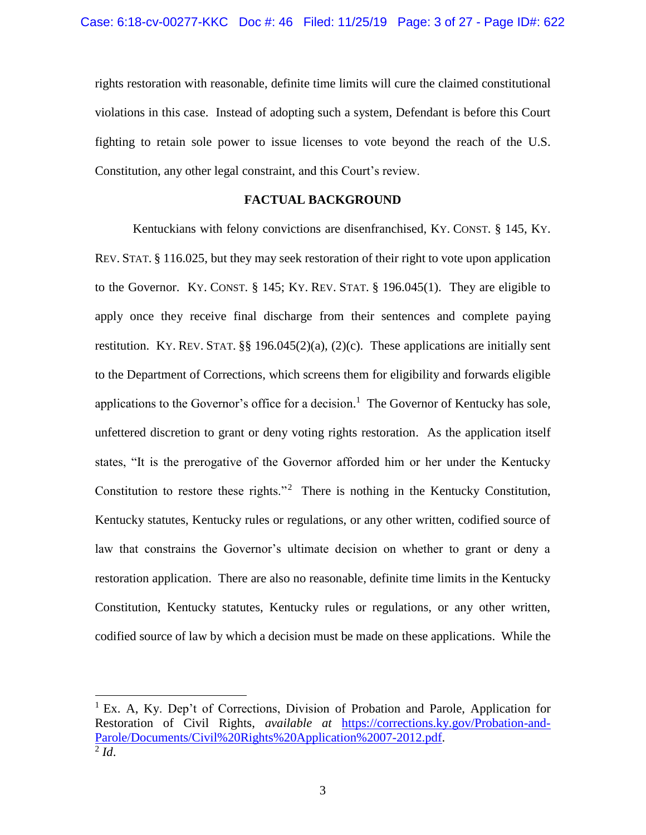rights restoration with reasonable, definite time limits will cure the claimed constitutional violations in this case. Instead of adopting such a system, Defendant is before this Court fighting to retain sole power to issue licenses to vote beyond the reach of the U.S. Constitution, any other legal constraint, and this Court's review.

#### **FACTUAL BACKGROUND**

Kentuckians with felony convictions are disenfranchised, KY. CONST. § 145, KY. REV. STAT. § 116.025, but they may seek restoration of their right to vote upon application to the Governor. KY. CONST.  $\S$  145; KY. REV. STAT.  $\S$  196.045(1). They are eligible to apply once they receive final discharge from their sentences and complete paying restitution. KY. REV. STAT.  $\S\S 196.045(2)(a)$ ,  $(2)(c)$ . These applications are initially sent to the Department of Corrections, which screens them for eligibility and forwards eligible applications to the Governor's office for a decision.<sup>1</sup> The Governor of Kentucky has sole, unfettered discretion to grant or deny voting rights restoration. As the application itself states, "It is the prerogative of the Governor afforded him or her under the Kentucky Constitution to restore these rights."<sup>2</sup> There is nothing in the Kentucky Constitution, Kentucky statutes, Kentucky rules or regulations, or any other written, codified source of law that constrains the Governor's ultimate decision on whether to grant or deny a restoration application. There are also no reasonable, definite time limits in the Kentucky Constitution, Kentucky statutes, Kentucky rules or regulations, or any other written, codified source of law by which a decision must be made on these applications. While the

 $\overline{a}$ 

<sup>&</sup>lt;sup>1</sup> Ex. A, Ky. Dep't of Corrections, Division of Probation and Parole, Application for Restoration of Civil Rights, *available at* [https://corrections.ky.gov/Probation-and-](https://corrections.ky.gov/Probation-and-Parole/Documents/Civil%20Rights%20Application%2007-2012.pdf)[Parole/Documents/Civil%20Rights%20Application%2007-2012.pdf.](https://corrections.ky.gov/Probation-and-Parole/Documents/Civil%20Rights%20Application%2007-2012.pdf)  $^2$ *Id.*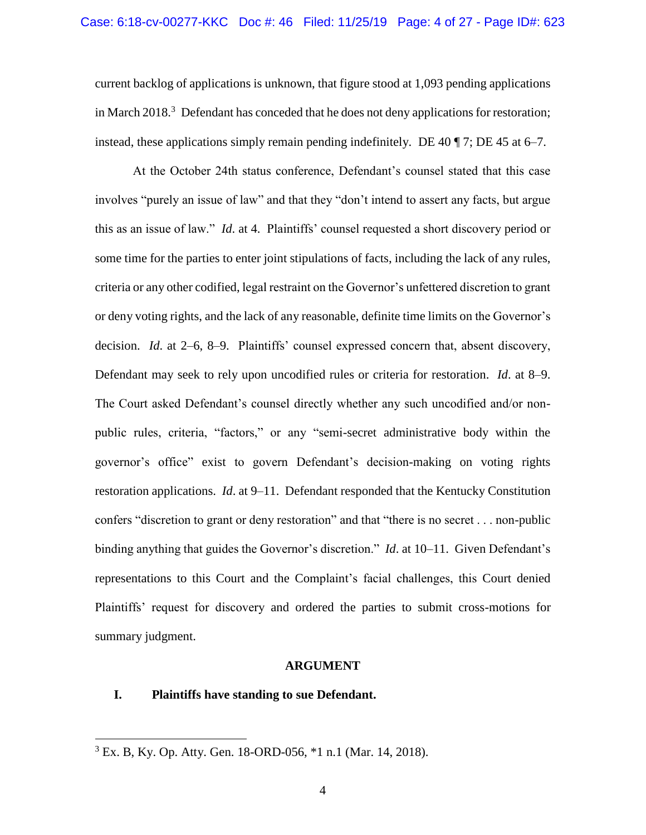current backlog of applications is unknown, that figure stood at 1,093 pending applications in March 2018. $3$  Defendant has conceded that he does not deny applications for restoration; instead, these applications simply remain pending indefinitely. DE 40  $\P$  7; DE 45 at 6–7.

At the October 24th status conference, Defendant's counsel stated that this case involves "purely an issue of law" and that they "don't intend to assert any facts, but argue this as an issue of law." *Id*. at 4. Plaintiffs' counsel requested a short discovery period or some time for the parties to enter joint stipulations of facts, including the lack of any rules, criteria or any other codified, legal restraint on the Governor's unfettered discretion to grant or deny voting rights, and the lack of any reasonable, definite time limits on the Governor's decision. *Id*. at 2–6, 8–9. Plaintiffs' counsel expressed concern that, absent discovery, Defendant may seek to rely upon uncodified rules or criteria for restoration. *Id*. at 8–9. The Court asked Defendant's counsel directly whether any such uncodified and/or nonpublic rules, criteria, "factors," or any "semi-secret administrative body within the governor's office" exist to govern Defendant's decision-making on voting rights restoration applications. *Id*. at 9–11. Defendant responded that the Kentucky Constitution confers "discretion to grant or deny restoration" and that "there is no secret . . . non-public binding anything that guides the Governor's discretion." *Id*. at 10–11. Given Defendant's representations to this Court and the Complaint's facial challenges, this Court denied Plaintiffs' request for discovery and ordered the parties to submit cross-motions for summary judgment.

#### **ARGUMENT**

#### **I. Plaintiffs have standing to sue Defendant.**

 $\overline{a}$ 

<sup>3</sup> Ex. B, Ky. Op. Atty. Gen. 18-ORD-056, \*1 n.1 (Mar. 14, 2018).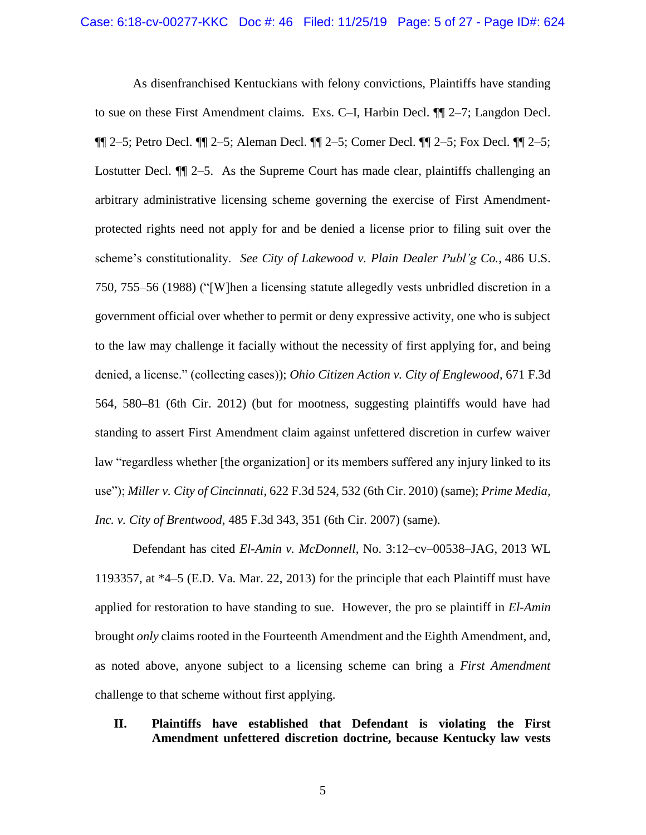As disenfranchised Kentuckians with felony convictions, Plaintiffs have standing to sue on these First Amendment claims. Exs. C–I, Harbin Decl. ¶¶ 2–7; Langdon Decl. ¶¶ 2–5; Petro Decl. ¶¶ 2–5; Aleman Decl. ¶¶ 2–5; Comer Decl. ¶¶ 2–5; Fox Decl. ¶¶ 2–5; Lostutter Decl.  $\P$  2–5. As the Supreme Court has made clear, plaintiffs challenging an arbitrary administrative licensing scheme governing the exercise of First Amendmentprotected rights need not apply for and be denied a license prior to filing suit over the scheme's constitutionality. *See City of Lakewood v. Plain Dealer Publ'g Co.*, 486 U.S. 750, 755–56 (1988) ("[W]hen a licensing statute allegedly vests unbridled discretion in a government official over whether to permit or deny expressive activity, one who is subject to the law may challenge it facially without the necessity of first applying for, and being denied, a license." (collecting cases)); *Ohio Citizen Action v. City of Englewood*, 671 F.3d 564, 580–81 (6th Cir. 2012) (but for mootness, suggesting plaintiffs would have had standing to assert First Amendment claim against unfettered discretion in curfew waiver law "regardless whether [the organization] or its members suffered any injury linked to its use"); *Miller v. City of Cincinnati*, 622 F.3d 524, 532 (6th Cir. 2010) (same); *Prime Media, Inc. v. City of Brentwood*, 485 F.3d 343, 351 (6th Cir. 2007) (same).

Defendant has cited *El-Amin v. McDonnell*, No. 3:12–cv–00538–JAG, 2013 WL 1193357, at \*4–5 (E.D. Va. Mar. 22, 2013) for the principle that each Plaintiff must have applied for restoration to have standing to sue. However, the pro se plaintiff in *El-Amin* brought *only* claims rooted in the Fourteenth Amendment and the Eighth Amendment, and, as noted above, anyone subject to a licensing scheme can bring a *First Amendment* challenge to that scheme without first applying.

### **II. Plaintiffs have established that Defendant is violating the First Amendment unfettered discretion doctrine, because Kentucky law vests**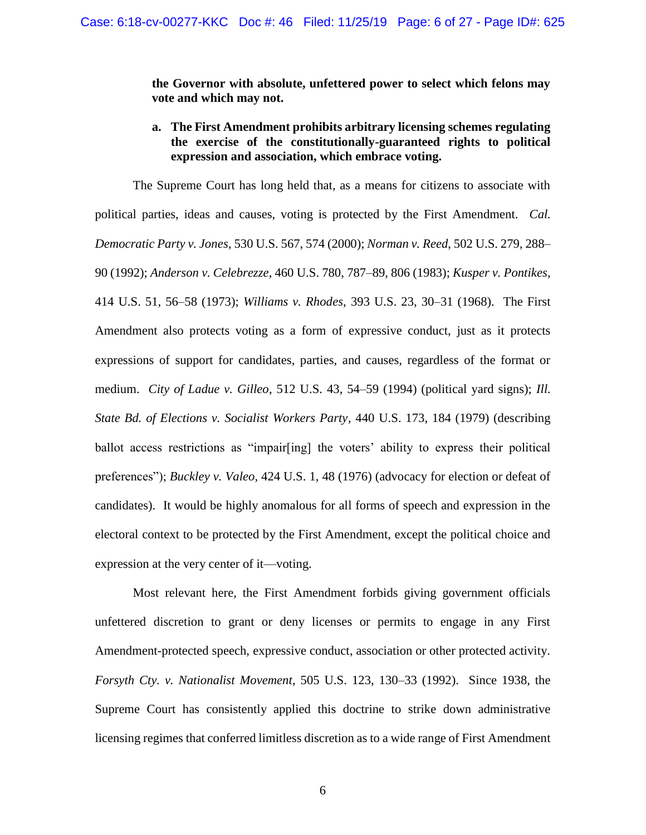**the Governor with absolute, unfettered power to select which felons may vote and which may not.** 

# **a. The First Amendment prohibits arbitrary licensing schemes regulating the exercise of the constitutionally-guaranteed rights to political expression and association, which embrace voting.**

The Supreme Court has long held that, as a means for citizens to associate with political parties, ideas and causes, voting is protected by the First Amendment. *Cal. Democratic Party v. Jones*, 530 U.S. 567, 574 (2000); *Norman v. Reed*, 502 U.S. 279, 288– 90 (1992); *Anderson v. Celebrezze*, 460 U.S. 780, 787–89, 806 (1983); *Kusper v. Pontikes*, 414 U.S. 51, 56–58 (1973); *Williams v. Rhodes*, 393 U.S. 23, 30–31 (1968). The First Amendment also protects voting as a form of expressive conduct, just as it protects expressions of support for candidates, parties, and causes, regardless of the format or medium. *City of Ladue v. Gilleo*, 512 U.S. 43, 54–59 (1994) (political yard signs); *Ill. State Bd. of Elections v. Socialist Workers Party*, 440 U.S. 173, 184 (1979) (describing ballot access restrictions as "impair[ing] the voters' ability to express their political preferences"); *Buckley v. Valeo*, 424 U.S. 1, 48 (1976) (advocacy for election or defeat of candidates). It would be highly anomalous for all forms of speech and expression in the electoral context to be protected by the First Amendment, except the political choice and expression at the very center of it—voting.

Most relevant here, the First Amendment forbids giving government officials unfettered discretion to grant or deny licenses or permits to engage in any First Amendment-protected speech, expressive conduct, association or other protected activity. *Forsyth Cty. v. Nationalist Movement*, 505 U.S. 123, 130–33 (1992). Since 1938, the Supreme Court has consistently applied this doctrine to strike down administrative licensing regimes that conferred limitless discretion as to a wide range of First Amendment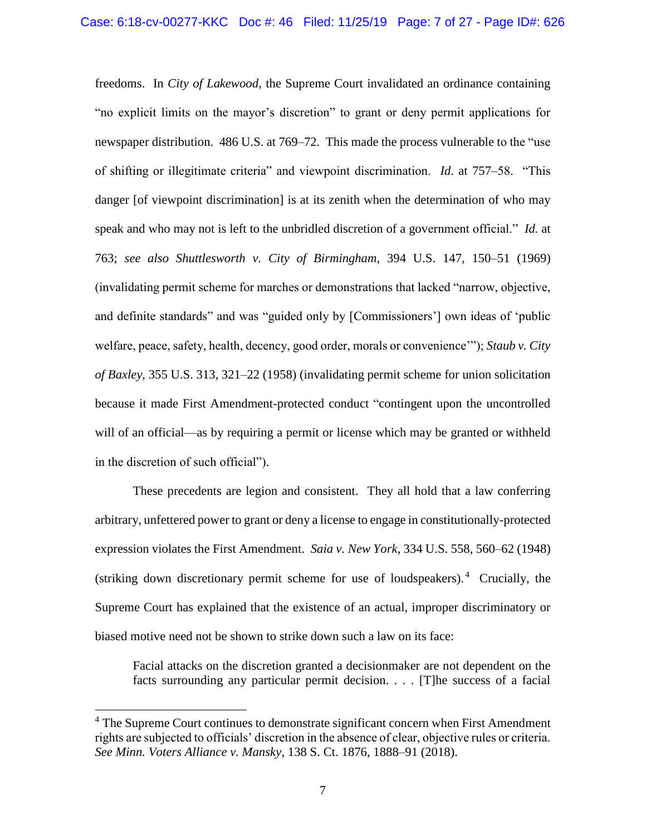freedoms. In *City of Lakewood*, the Supreme Court invalidated an ordinance containing "no explicit limits on the mayor's discretion" to grant or deny permit applications for newspaper distribution. 486 U.S. at 769–72. This made the process vulnerable to the "use of shifting or illegitimate criteria" and viewpoint discrimination. *Id*. at 757–58. "This danger [of viewpoint discrimination] is at its zenith when the determination of who may speak and who may not is left to the unbridled discretion of a government official." *Id.* at 763; *see also Shuttlesworth v. City of Birmingham*, 394 U.S. 147, 150–51 (1969) (invalidating permit scheme for marches or demonstrations that lacked "narrow, objective, and definite standards" and was "guided only by [Commissioners'] own ideas of 'public welfare, peace, safety, health, decency, good order, morals or convenience'"); *Staub v. City of Baxley*, 355 U.S. 313, 321–22 (1958) (invalidating permit scheme for union solicitation because it made First Amendment-protected conduct "contingent upon the uncontrolled will of an official—as by requiring a permit or license which may be granted or withheld in the discretion of such official").

These precedents are legion and consistent. They all hold that a law conferring arbitrary, unfettered power to grant or deny a license to engage in constitutionally-protected expression violates the First Amendment. *Saia v. New York*, 334 U.S. 558, 560–62 (1948) (striking down discretionary permit scheme for use of loudspeakers). 4 Crucially, the Supreme Court has explained that the existence of an actual, improper discriminatory or biased motive need not be shown to strike down such a law on its face:

Facial attacks on the discretion granted a decisionmaker are not dependent on the facts surrounding any particular permit decision. . . . [T]he success of a facial

l

<sup>&</sup>lt;sup>4</sup> The Supreme Court continues to demonstrate significant concern when First Amendment rights are subjected to officials' discretion in the absence of clear, objective rules or criteria. *See Minn. Voters Alliance v. Mansky*, 138 S. Ct. 1876, 1888–91 (2018).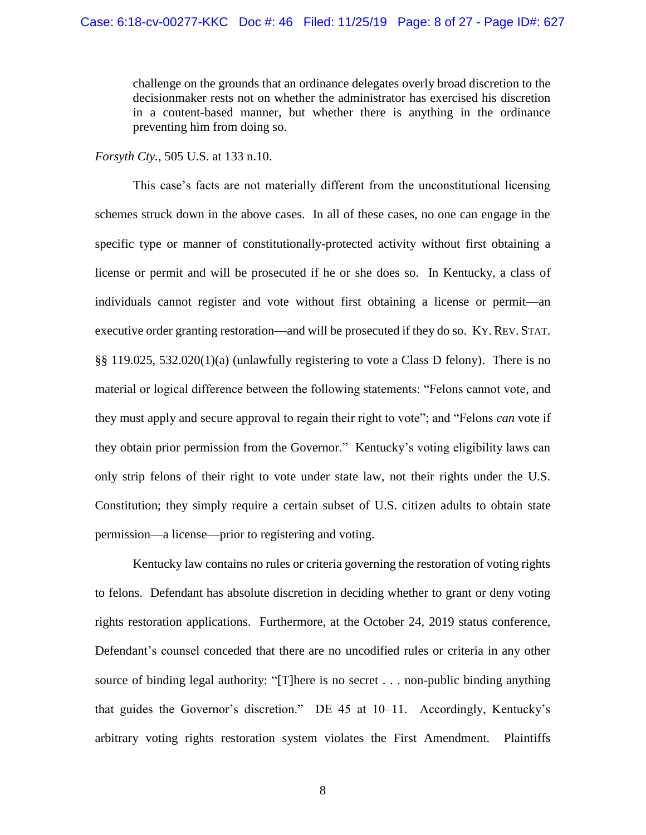challenge on the grounds that an ordinance delegates overly broad discretion to the decisionmaker rests not on whether the administrator has exercised his discretion in a content-based manner, but whether there is anything in the ordinance preventing him from doing so.

*Forsyth Cty.*, 505 U.S. at 133 n.10.

This case's facts are not materially different from the unconstitutional licensing schemes struck down in the above cases. In all of these cases, no one can engage in the specific type or manner of constitutionally-protected activity without first obtaining a license or permit and will be prosecuted if he or she does so. In Kentucky, a class of individuals cannot register and vote without first obtaining a license or permit—an executive order granting restoration—and will be prosecuted if they do so. KY. REV. STAT. §§ 119.025, 532.020(1)(a) (unlawfully registering to vote a Class D felony). There is no material or logical difference between the following statements: "Felons cannot vote, and they must apply and secure approval to regain their right to vote"; and "Felons *can* vote if they obtain prior permission from the Governor." Kentucky's voting eligibility laws can only strip felons of their right to vote under state law, not their rights under the U.S. Constitution; they simply require a certain subset of U.S. citizen adults to obtain state permission—a license—prior to registering and voting.

Kentucky law contains no rules or criteria governing the restoration of voting rights to felons. Defendant has absolute discretion in deciding whether to grant or deny voting rights restoration applications. Furthermore, at the October 24, 2019 status conference, Defendant's counsel conceded that there are no uncodified rules or criteria in any other source of binding legal authority: "[T]here is no secret . . . non-public binding anything that guides the Governor's discretion." DE 45 at 10–11. Accordingly, Kentucky's arbitrary voting rights restoration system violates the First Amendment. Plaintiffs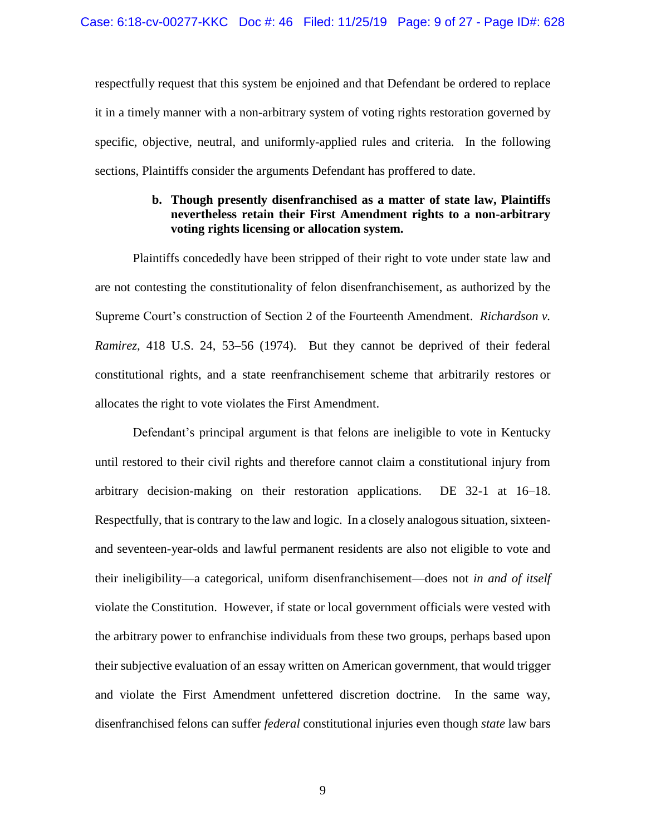respectfully request that this system be enjoined and that Defendant be ordered to replace it in a timely manner with a non-arbitrary system of voting rights restoration governed by specific, objective, neutral, and uniformly-applied rules and criteria. In the following sections, Plaintiffs consider the arguments Defendant has proffered to date.

# **b. Though presently disenfranchised as a matter of state law, Plaintiffs nevertheless retain their First Amendment rights to a non-arbitrary voting rights licensing or allocation system.**

Plaintiffs concededly have been stripped of their right to vote under state law and are not contesting the constitutionality of felon disenfranchisement, as authorized by the Supreme Court's construction of Section 2 of the Fourteenth Amendment. *Richardson v. Ramirez*, 418 U.S. 24, 53–56 (1974). But they cannot be deprived of their federal constitutional rights, and a state reenfranchisement scheme that arbitrarily restores or allocates the right to vote violates the First Amendment.

Defendant's principal argument is that felons are ineligible to vote in Kentucky until restored to their civil rights and therefore cannot claim a constitutional injury from arbitrary decision-making on their restoration applications. DE 32-1 at 16–18. Respectfully, that is contrary to the law and logic. In a closely analogous situation, sixteenand seventeen-year-olds and lawful permanent residents are also not eligible to vote and their ineligibility—a categorical, uniform disenfranchisement—does not *in and of itself* violate the Constitution. However, if state or local government officials were vested with the arbitrary power to enfranchise individuals from these two groups, perhaps based upon their subjective evaluation of an essay written on American government, that would trigger and violate the First Amendment unfettered discretion doctrine. In the same way, disenfranchised felons can suffer *federal* constitutional injuries even though *state* law bars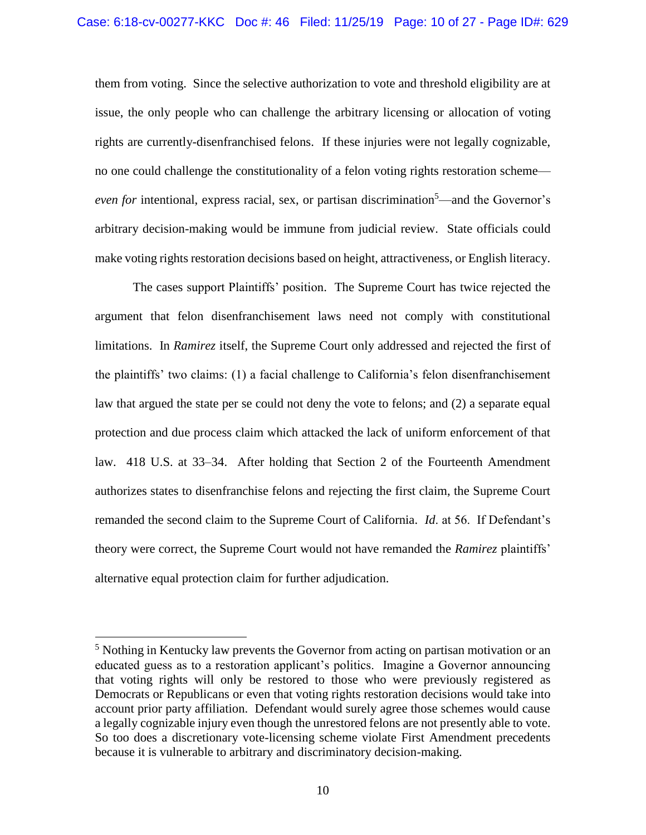them from voting. Since the selective authorization to vote and threshold eligibility are at issue, the only people who can challenge the arbitrary licensing or allocation of voting rights are currently-disenfranchised felons. If these injuries were not legally cognizable, no one could challenge the constitutionality of a felon voting rights restoration scheme *even for* intentional, express racial, sex, or partisan discrimination<sup>5</sup>—and the Governor's arbitrary decision-making would be immune from judicial review. State officials could make voting rights restoration decisions based on height, attractiveness, or English literacy.

The cases support Plaintiffs' position. The Supreme Court has twice rejected the argument that felon disenfranchisement laws need not comply with constitutional limitations. In *Ramirez* itself, the Supreme Court only addressed and rejected the first of the plaintiffs' two claims: (1) a facial challenge to California's felon disenfranchisement law that argued the state per se could not deny the vote to felons; and (2) a separate equal protection and due process claim which attacked the lack of uniform enforcement of that law. 418 U.S. at 33–34. After holding that Section 2 of the Fourteenth Amendment authorizes states to disenfranchise felons and rejecting the first claim, the Supreme Court remanded the second claim to the Supreme Court of California. *Id*. at 56. If Defendant's theory were correct, the Supreme Court would not have remanded the *Ramirez* plaintiffs' alternative equal protection claim for further adjudication.

l

<sup>&</sup>lt;sup>5</sup> Nothing in Kentucky law prevents the Governor from acting on partisan motivation or an educated guess as to a restoration applicant's politics. Imagine a Governor announcing that voting rights will only be restored to those who were previously registered as Democrats or Republicans or even that voting rights restoration decisions would take into account prior party affiliation. Defendant would surely agree those schemes would cause a legally cognizable injury even though the unrestored felons are not presently able to vote. So too does a discretionary vote-licensing scheme violate First Amendment precedents because it is vulnerable to arbitrary and discriminatory decision-making.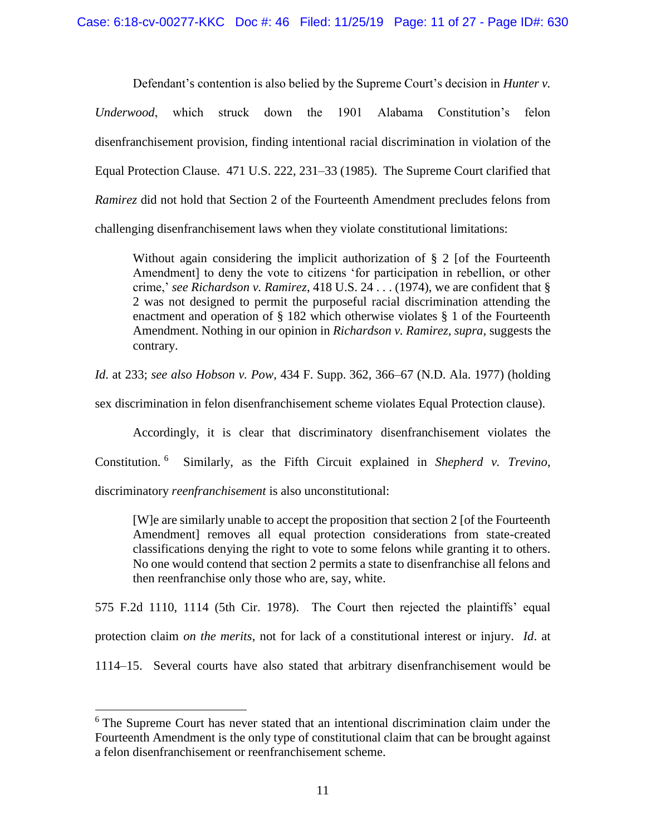Defendant's contention is also belied by the Supreme Court's decision in *Hunter v. Underwood*, which struck down the 1901 Alabama Constitution's felon disenfranchisement provision, finding intentional racial discrimination in violation of the Equal Protection Clause. 471 U.S. 222, 231–33 (1985). The Supreme Court clarified that *Ramirez* did not hold that Section 2 of the Fourteenth Amendment precludes felons from challenging disenfranchisement laws when they violate constitutional limitations:

Without again considering the implicit authorization of  $\S 2$  [of the Fourteenth Amendment] to deny the vote to citizens 'for participation in rebellion, or other crime,' *see Richardson v. Ramirez*, 418 U.S. 24 . . . (1974), we are confident that § 2 was not designed to permit the purposeful racial discrimination attending the enactment and operation of § 182 which otherwise violates § 1 of the Fourteenth Amendment. Nothing in our opinion in *Richardson v. Ramirez, supra,* suggests the contrary.

*Id*. at 233; *see also Hobson v. Pow*, 434 F. Supp. 362, 366–67 (N.D. Ala. 1977) (holding

sex discrimination in felon disenfranchisement scheme violates Equal Protection clause).

Accordingly, it is clear that discriminatory disenfranchisement violates the Constitution. <sup>6</sup> Similarly, as the Fifth Circuit explained in *Shepherd v. Trevino*, discriminatory *reenfranchisement* is also unconstitutional:

[W]e are similarly unable to accept the proposition that section 2 [of the Fourteenth Amendment] removes all equal protection considerations from state-created classifications denying the right to vote to some felons while granting it to others. No one would contend that section 2 permits a state to disenfranchise all felons and then reenfranchise only those who are, say, white.

575 F.2d 1110, 1114 (5th Cir. 1978). The Court then rejected the plaintiffs' equal protection claim *on the merits*, not for lack of a constitutional interest or injury. *Id*. at 1114–15. Several courts have also stated that arbitrary disenfranchisement would be

l

<sup>&</sup>lt;sup>6</sup> The Supreme Court has never stated that an intentional discrimination claim under the Fourteenth Amendment is the only type of constitutional claim that can be brought against a felon disenfranchisement or reenfranchisement scheme.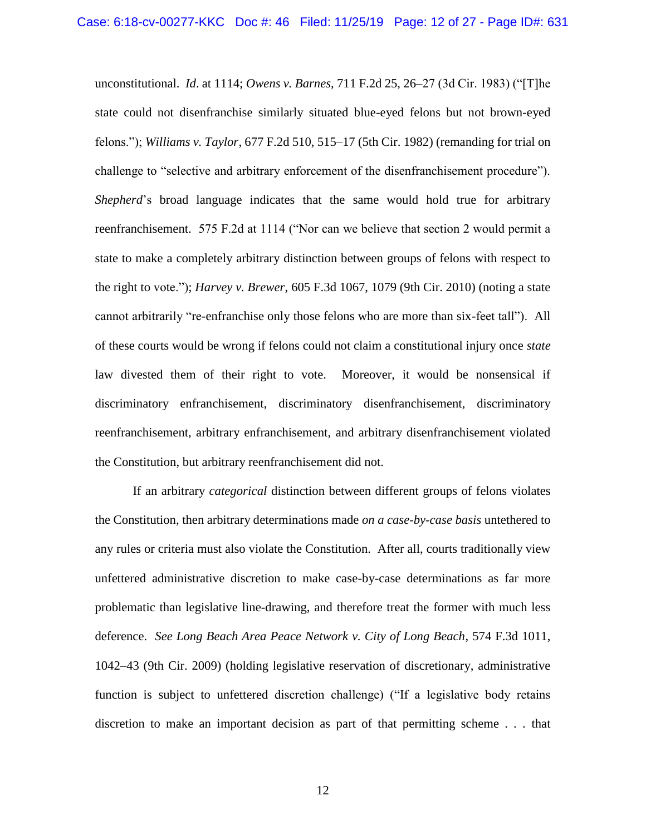unconstitutional. *Id*. at 1114; *Owens v. Barnes*, 711 F.2d 25, 26–27 (3d Cir. 1983) ("[T]he state could not disenfranchise similarly situated blue-eyed felons but not brown-eyed felons."); *Williams v. Taylor*, 677 F.2d 510, 515–17 (5th Cir. 1982) (remanding for trial on challenge to "selective and arbitrary enforcement of the disenfranchisement procedure"). *Shepherd*'s broad language indicates that the same would hold true for arbitrary reenfranchisement. 575 F.2d at 1114 ("Nor can we believe that section 2 would permit a state to make a completely arbitrary distinction between groups of felons with respect to the right to vote."); *Harvey v. Brewer*, 605 F.3d 1067, 1079 (9th Cir. 2010) (noting a state cannot arbitrarily "re-enfranchise only those felons who are more than six-feet tall"). All of these courts would be wrong if felons could not claim a constitutional injury once *state* law divested them of their right to vote. Moreover, it would be nonsensical if discriminatory enfranchisement, discriminatory disenfranchisement, discriminatory reenfranchisement, arbitrary enfranchisement, and arbitrary disenfranchisement violated the Constitution, but arbitrary reenfranchisement did not.

If an arbitrary *categorical* distinction between different groups of felons violates the Constitution, then arbitrary determinations made *on a case-by-case basis* untethered to any rules or criteria must also violate the Constitution. After all, courts traditionally view unfettered administrative discretion to make case-by-case determinations as far more problematic than legislative line-drawing, and therefore treat the former with much less deference. *See Long Beach Area Peace Network v. City of Long Beach*, 574 F.3d 1011, 1042–43 (9th Cir. 2009) (holding legislative reservation of discretionary, administrative function is subject to unfettered discretion challenge) ("If a legislative body retains discretion to make an important decision as part of that permitting scheme . . . that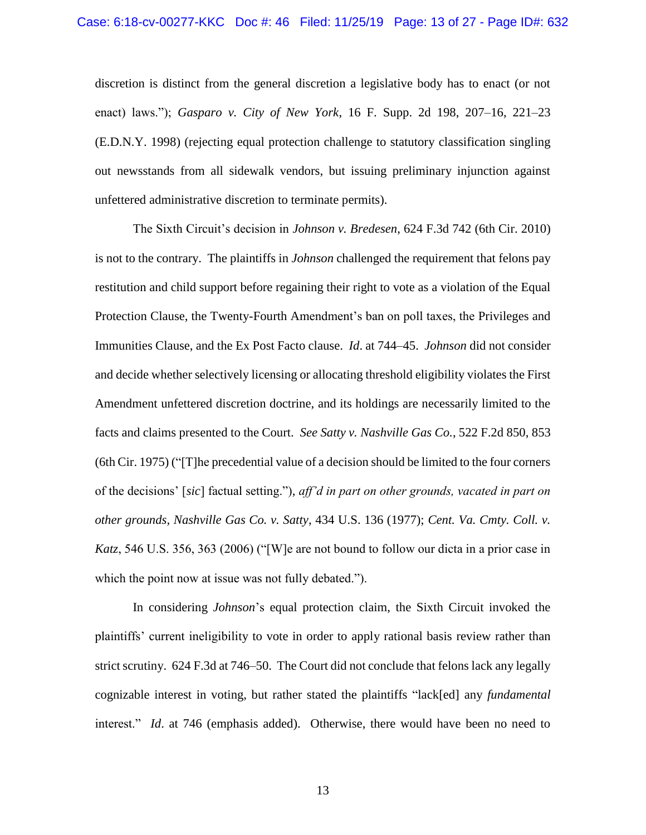discretion is distinct from the general discretion a legislative body has to enact (or not enact) laws."); *Gasparo v. City of New York*, 16 F. Supp. 2d 198, 207–16, 221–23 (E.D.N.Y. 1998) (rejecting equal protection challenge to statutory classification singling out newsstands from all sidewalk vendors, but issuing preliminary injunction against unfettered administrative discretion to terminate permits).

The Sixth Circuit's decision in *Johnson v. Bredesen*, 624 F.3d 742 (6th Cir. 2010) is not to the contrary. The plaintiffs in *Johnson* challenged the requirement that felons pay restitution and child support before regaining their right to vote as a violation of the Equal Protection Clause, the Twenty-Fourth Amendment's ban on poll taxes, the Privileges and Immunities Clause, and the Ex Post Facto clause. *Id*. at 744–45. *Johnson* did not consider and decide whether selectively licensing or allocating threshold eligibility violates the First Amendment unfettered discretion doctrine, and its holdings are necessarily limited to the facts and claims presented to the Court. *See Satty v. Nashville Gas Co.*, 522 F.2d 850, 853 (6th Cir. 1975) ("[T]he precedential value of a decision should be limited to the four corners of the decisions' [*sic*] factual setting."), *aff'd in part on other grounds, vacated in part on other grounds, Nashville Gas Co. v. Satty*, 434 U.S. 136 (1977); *Cent. Va. Cmty. Coll. v. Katz*, 546 U.S. 356, 363 (2006) ("[W]e are not bound to follow our dicta in a prior case in which the point now at issue was not fully debated.").

In considering *Johnson*'s equal protection claim, the Sixth Circuit invoked the plaintiffs' current ineligibility to vote in order to apply rational basis review rather than strict scrutiny. 624 F.3d at 746–50. The Court did not conclude that felons lack any legally cognizable interest in voting, but rather stated the plaintiffs "lack[ed] any *fundamental* interest." *Id*. at 746 (emphasis added). Otherwise, there would have been no need to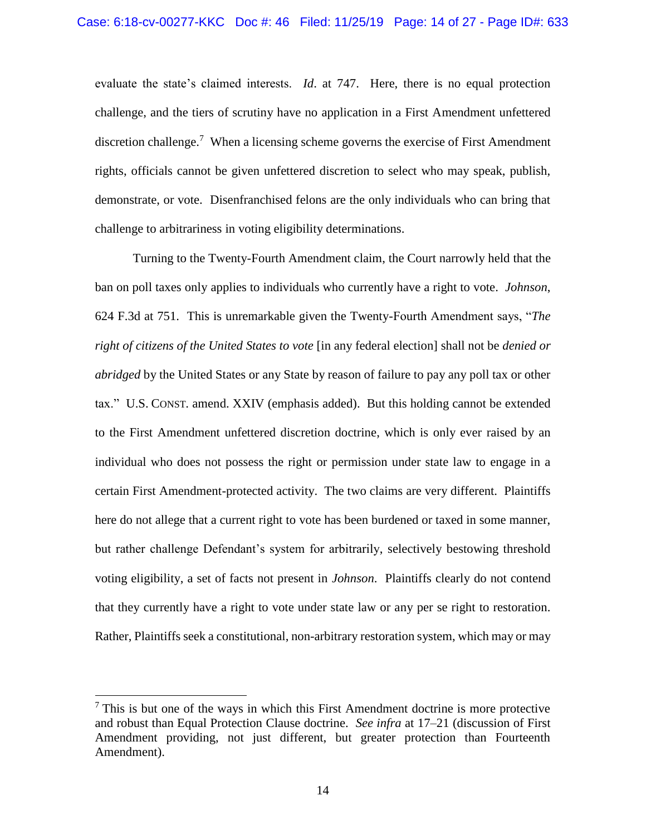evaluate the state's claimed interests. *Id*. at 747. Here, there is no equal protection challenge, and the tiers of scrutiny have no application in a First Amendment unfettered discretion challenge.<sup>7</sup> When a licensing scheme governs the exercise of First Amendment rights, officials cannot be given unfettered discretion to select who may speak, publish, demonstrate, or vote. Disenfranchised felons are the only individuals who can bring that challenge to arbitrariness in voting eligibility determinations.

Turning to the Twenty-Fourth Amendment claim, the Court narrowly held that the ban on poll taxes only applies to individuals who currently have a right to vote. *Johnson*, 624 F.3d at 751. This is unremarkable given the Twenty-Fourth Amendment says, "*The right of citizens of the United States to vote* [in any federal election] shall not be *denied or abridged* by the United States or any State by reason of failure to pay any poll tax or other tax." U.S. CONST. amend. XXIV (emphasis added). But this holding cannot be extended to the First Amendment unfettered discretion doctrine, which is only ever raised by an individual who does not possess the right or permission under state law to engage in a certain First Amendment-protected activity. The two claims are very different. Plaintiffs here do not allege that a current right to vote has been burdened or taxed in some manner, but rather challenge Defendant's system for arbitrarily, selectively bestowing threshold voting eligibility, a set of facts not present in *Johnson*. Plaintiffs clearly do not contend that they currently have a right to vote under state law or any per se right to restoration. Rather, Plaintiffs seek a constitutional, non-arbitrary restoration system, which may or may

 $\overline{\phantom{a}}$ 

 $<sup>7</sup>$  This is but one of the ways in which this First Amendment doctrine is more protective</sup> and robust than Equal Protection Clause doctrine. *See infra* at 17–21 (discussion of First Amendment providing, not just different, but greater protection than Fourteenth Amendment).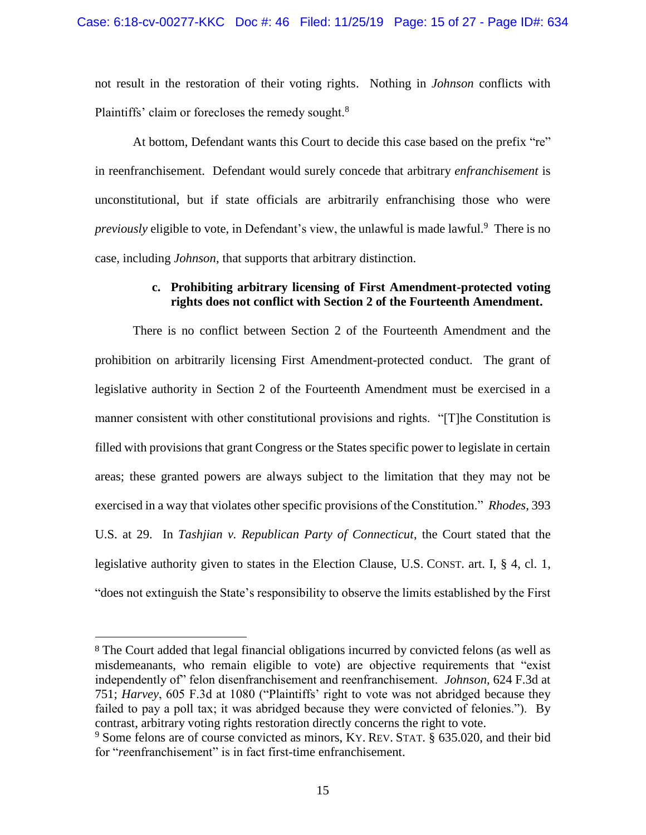not result in the restoration of their voting rights. Nothing in *Johnson* conflicts with Plaintiffs' claim or forecloses the remedy sought.<sup>8</sup>

At bottom, Defendant wants this Court to decide this case based on the prefix "re" in reenfranchisement. Defendant would surely concede that arbitrary *enfranchisement* is unconstitutional, but if state officials are arbitrarily enfranchising those who were previously eligible to vote, in Defendant's view, the unlawful is made lawful.<sup>9</sup> There is no case, including *Johnson*, that supports that arbitrary distinction.

### **c. Prohibiting arbitrary licensing of First Amendment-protected voting rights does not conflict with Section 2 of the Fourteenth Amendment.**

There is no conflict between Section 2 of the Fourteenth Amendment and the prohibition on arbitrarily licensing First Amendment-protected conduct. The grant of legislative authority in Section 2 of the Fourteenth Amendment must be exercised in a manner consistent with other constitutional provisions and rights. "[T]he Constitution is filled with provisions that grant Congress or the States specific power to legislate in certain areas; these granted powers are always subject to the limitation that they may not be exercised in a way that violates other specific provisions of the Constitution." *Rhodes*, 393 U.S. at 29. In *Tashjian v. Republican Party of Connecticut*, the Court stated that the legislative authority given to states in the Election Clause, U.S. CONST. art. I, § 4, cl. 1, "does not extinguish the State's responsibility to observe the limits established by the First

 $\overline{\phantom{a}}$ 

<sup>8</sup> The Court added that legal financial obligations incurred by convicted felons (as well as misdemeanants, who remain eligible to vote) are objective requirements that "exist independently of" felon disenfranchisement and reenfranchisement. *Johnson*, 624 F.3d at 751; *Harvey*, 605 F.3d at 1080 ("Plaintiffs' right to vote was not abridged because they failed to pay a poll tax; it was abridged because they were convicted of felonies."). By contrast, arbitrary voting rights restoration directly concerns the right to vote.

<sup>&</sup>lt;sup>9</sup> Some felons are of course convicted as minors, KY. REV. STAT. § 635.020, and their bid for "reenfranchisement" is in fact first-time enfranchisement.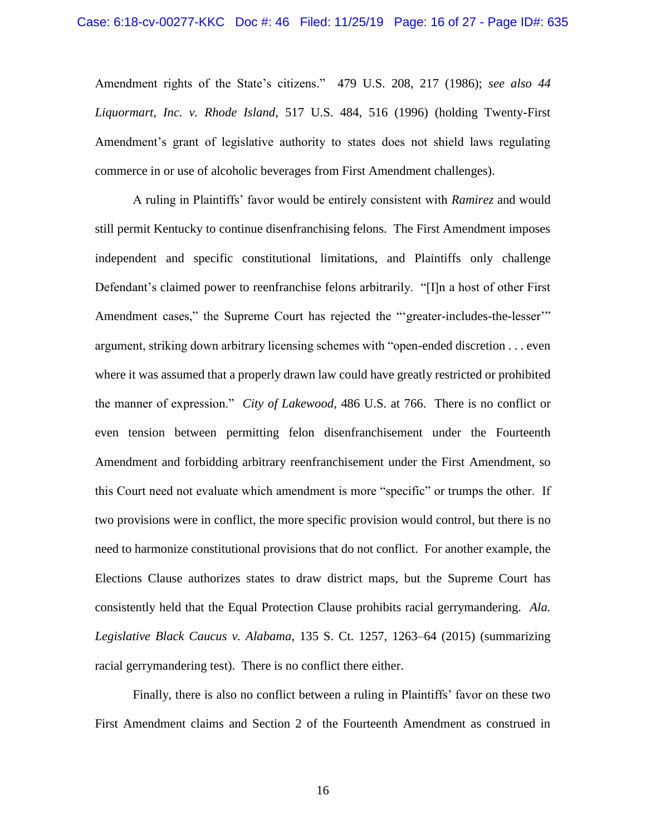Amendment rights of the State's citizens." 479 U.S. 208, 217 (1986); *see also 44 Liquormart, Inc. v. Rhode Island*, 517 U.S. 484, 516 (1996) (holding Twenty-First Amendment's grant of legislative authority to states does not shield laws regulating commerce in or use of alcoholic beverages from First Amendment challenges).

A ruling in Plaintiffs' favor would be entirely consistent with *Ramirez* and would still permit Kentucky to continue disenfranchising felons. The First Amendment imposes independent and specific constitutional limitations, and Plaintiffs only challenge Defendant's claimed power to reenfranchise felons arbitrarily. "[I]n a host of other First Amendment cases," the Supreme Court has rejected the ""greater-includes-the-lesser" argument, striking down arbitrary licensing schemes with "open-ended discretion . . . even where it was assumed that a properly drawn law could have greatly restricted or prohibited the manner of expression." *City of Lakewood*, 486 U.S. at 766. There is no conflict or even tension between permitting felon disenfranchisement under the Fourteenth Amendment and forbidding arbitrary reenfranchisement under the First Amendment, so this Court need not evaluate which amendment is more "specific" or trumps the other. If two provisions were in conflict, the more specific provision would control, but there is no need to harmonize constitutional provisions that do not conflict. For another example, the Elections Clause authorizes states to draw district maps, but the Supreme Court has consistently held that the Equal Protection Clause prohibits racial gerrymandering. *Ala. Legislative Black Caucus v. Alabama*, 135 S. Ct. 1257, 1263–64 (2015) (summarizing racial gerrymandering test). There is no conflict there either.

Finally, there is also no conflict between a ruling in Plaintiffs' favor on these two First Amendment claims and Section 2 of the Fourteenth Amendment as construed in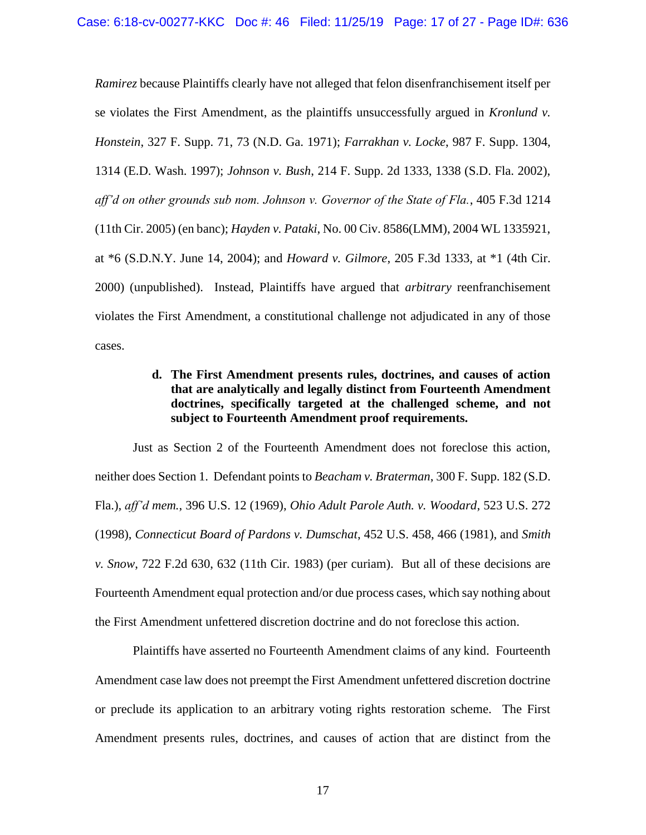*Ramirez* because Plaintiffs clearly have not alleged that felon disenfranchisement itself per se violates the First Amendment, as the plaintiffs unsuccessfully argued in *Kronlund v. Honstein*, 327 F. Supp. 71, 73 (N.D. Ga. 1971); *Farrakhan v. Locke*, 987 F. Supp. 1304, 1314 (E.D. Wash. 1997); *Johnson v. Bush*, 214 F. Supp. 2d 1333, 1338 (S.D. Fla. 2002), *aff'd on other grounds sub nom. Johnson v. Governor of the State of Fla.*, 405 F.3d 1214 (11th Cir. 2005) (en banc); *Hayden v. Pataki*, No. 00 Civ. 8586(LMM), 2004 WL 1335921, at \*6 (S.D.N.Y. June 14, 2004); and *Howard v. Gilmore*, 205 F.3d 1333, at \*1 (4th Cir. 2000) (unpublished). Instead, Plaintiffs have argued that *arbitrary* reenfranchisement violates the First Amendment, a constitutional challenge not adjudicated in any of those cases.

# **d. The First Amendment presents rules, doctrines, and causes of action that are analytically and legally distinct from Fourteenth Amendment doctrines, specifically targeted at the challenged scheme, and not subject to Fourteenth Amendment proof requirements.**

Just as Section 2 of the Fourteenth Amendment does not foreclose this action, neither does Section 1. Defendant points to *Beacham v. Braterman*, 300 F. Supp. 182 (S.D. Fla.), *aff'd mem.*, 396 U.S. 12 (1969), *Ohio Adult Parole Auth. v. Woodard*, 523 U.S. 272 (1998), *Connecticut Board of Pardons v. Dumschat*, 452 U.S. 458, 466 (1981), and *Smith v. Snow*, 722 F.2d 630, 632 (11th Cir. 1983) (per curiam). But all of these decisions are Fourteenth Amendment equal protection and/or due process cases, which say nothing about the First Amendment unfettered discretion doctrine and do not foreclose this action.

Plaintiffs have asserted no Fourteenth Amendment claims of any kind. Fourteenth Amendment case law does not preempt the First Amendment unfettered discretion doctrine or preclude its application to an arbitrary voting rights restoration scheme. The First Amendment presents rules, doctrines, and causes of action that are distinct from the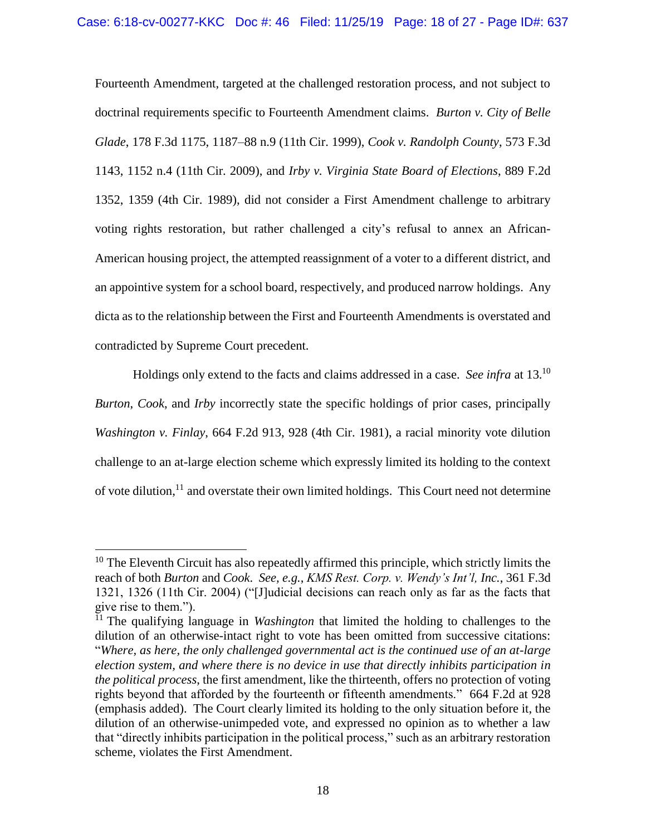Fourteenth Amendment, targeted at the challenged restoration process, and not subject to doctrinal requirements specific to Fourteenth Amendment claims. *Burton v. City of Belle Glade*, 178 F.3d 1175, 1187–88 n.9 (11th Cir. 1999), *Cook v. Randolph County*, 573 F.3d 1143, 1152 n.4 (11th Cir. 2009), and *Irby v. Virginia State Board of Elections*, 889 F.2d 1352, 1359 (4th Cir. 1989), did not consider a First Amendment challenge to arbitrary voting rights restoration, but rather challenged a city's refusal to annex an African-American housing project, the attempted reassignment of a voter to a different district, and an appointive system for a school board, respectively, and produced narrow holdings. Any dicta as to the relationship between the First and Fourteenth Amendments is overstated and contradicted by Supreme Court precedent.

Holdings only extend to the facts and claims addressed in a case. *See infra* at 13. 10 *Burton*, *Cook*, and *Irby* incorrectly state the specific holdings of prior cases, principally *Washington v. Finlay*, 664 F.2d 913, 928 (4th Cir. 1981), a racial minority vote dilution challenge to an at-large election scheme which expressly limited its holding to the context of vote dilution,<sup>11</sup> and overstate their own limited holdings. This Court need not determine

 $\overline{\phantom{a}}$ 

 $10$  The Eleventh Circuit has also repeatedly affirmed this principle, which strictly limits the reach of both *Burton* and *Cook*. *See, e.g.*, *KMS Rest. Corp. v. Wendy's Int'l, Inc.*, 361 F.3d 1321, 1326 (11th Cir. 2004) ("[J]udicial decisions can reach only as far as the facts that give rise to them.").

<sup>&</sup>lt;sup>11</sup> The qualifying language in *Washington* that limited the holding to challenges to the dilution of an otherwise-intact right to vote has been omitted from successive citations: "*Where, as here, the only challenged governmental act is the continued use of an at-large election system, and where there is no device in use that directly inhibits participation in the political process*, the first amendment, like the thirteenth, offers no protection of voting rights beyond that afforded by the fourteenth or fifteenth amendments." 664 F.2d at 928 (emphasis added). The Court clearly limited its holding to the only situation before it, the dilution of an otherwise-unimpeded vote, and expressed no opinion as to whether a law that "directly inhibits participation in the political process," such as an arbitrary restoration scheme, violates the First Amendment.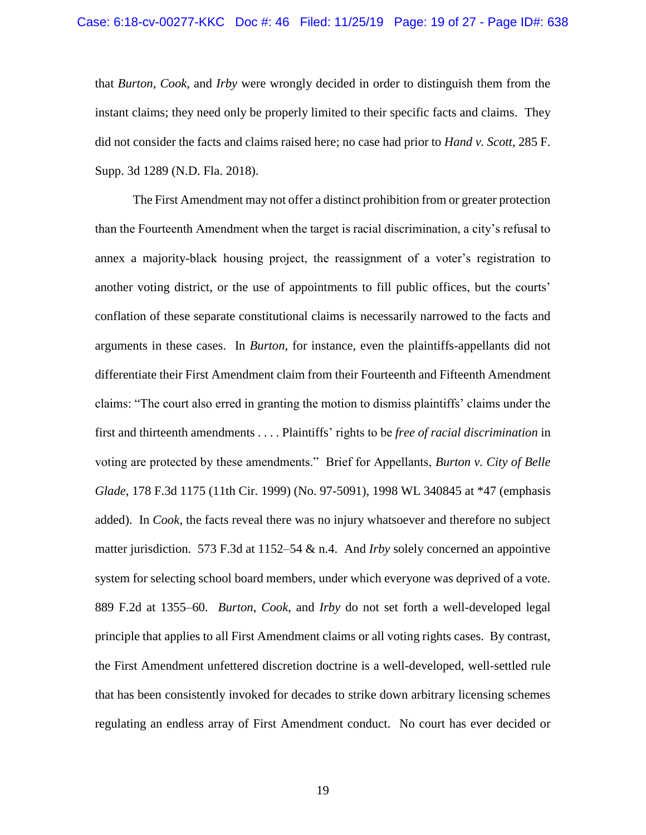that *Burton*, *Cook*, and *Irby* were wrongly decided in order to distinguish them from the instant claims; they need only be properly limited to their specific facts and claims. They did not consider the facts and claims raised here; no case had prior to *Hand v. Scott*, 285 F. Supp. 3d 1289 (N.D. Fla. 2018).

The First Amendment may not offer a distinct prohibition from or greater protection than the Fourteenth Amendment when the target is racial discrimination, a city's refusal to annex a majority-black housing project, the reassignment of a voter's registration to another voting district, or the use of appointments to fill public offices, but the courts' conflation of these separate constitutional claims is necessarily narrowed to the facts and arguments in these cases. In *Burton*, for instance, even the plaintiffs-appellants did not differentiate their First Amendment claim from their Fourteenth and Fifteenth Amendment claims: "The court also erred in granting the motion to dismiss plaintiffs' claims under the first and thirteenth amendments . . . . Plaintiffs' rights to be *free of racial discrimination* in voting are protected by these amendments." Brief for Appellants, *Burton v. City of Belle Glade*, 178 F.3d 1175 (11th Cir. 1999) (No. 97-5091), 1998 WL 340845 at \*47 (emphasis added). In *Cook*, the facts reveal there was no injury whatsoever and therefore no subject matter jurisdiction. 573 F.3d at 1152–54 & n.4. And *Irby* solely concerned an appointive system for selecting school board members, under which everyone was deprived of a vote. 889 F.2d at 1355–60. *Burton*, *Cook*, and *Irby* do not set forth a well-developed legal principle that applies to all First Amendment claims or all voting rights cases. By contrast, the First Amendment unfettered discretion doctrine is a well-developed, well-settled rule that has been consistently invoked for decades to strike down arbitrary licensing schemes regulating an endless array of First Amendment conduct. No court has ever decided or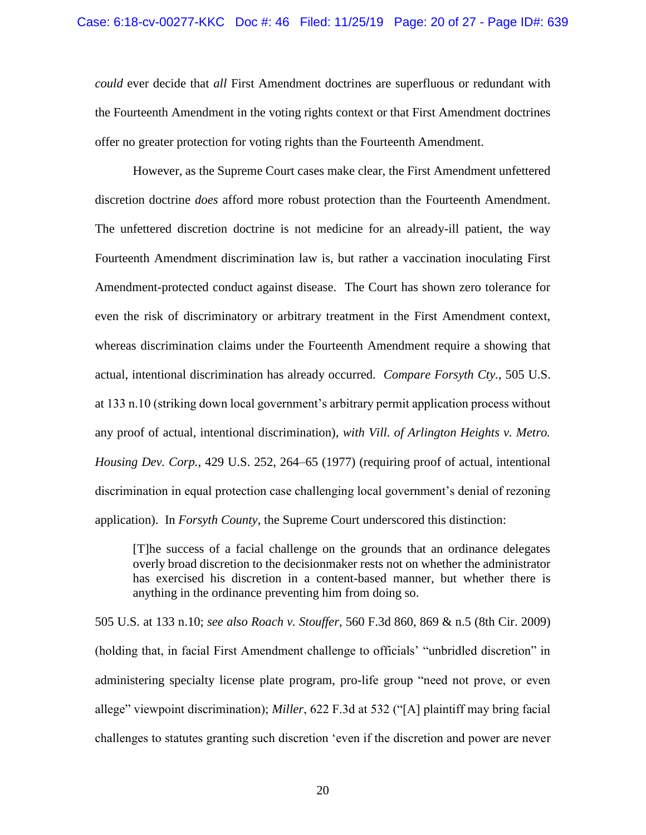*could* ever decide that *all* First Amendment doctrines are superfluous or redundant with the Fourteenth Amendment in the voting rights context or that First Amendment doctrines offer no greater protection for voting rights than the Fourteenth Amendment.

However, as the Supreme Court cases make clear, the First Amendment unfettered discretion doctrine *does* afford more robust protection than the Fourteenth Amendment. The unfettered discretion doctrine is not medicine for an already-ill patient, the way Fourteenth Amendment discrimination law is, but rather a vaccination inoculating First Amendment-protected conduct against disease. The Court has shown zero tolerance for even the risk of discriminatory or arbitrary treatment in the First Amendment context, whereas discrimination claims under the Fourteenth Amendment require a showing that actual, intentional discrimination has already occurred. *Compare Forsyth Cty.*, 505 U.S. at 133 n.10 (striking down local government's arbitrary permit application process without any proof of actual, intentional discrimination), *with Vill. of Arlington Heights v. Metro. Housing Dev. Corp.*, 429 U.S. 252, 264–65 (1977) (requiring proof of actual, intentional discrimination in equal protection case challenging local government's denial of rezoning application). In *Forsyth County*, the Supreme Court underscored this distinction:

[T]he success of a facial challenge on the grounds that an ordinance delegates overly broad discretion to the decisionmaker rests not on whether the administrator has exercised his discretion in a content-based manner, but whether there is anything in the ordinance preventing him from doing so.

505 U.S. at 133 n.10; *see also Roach v. Stouffer*, 560 F.3d 860, 869 & n.5 (8th Cir. 2009) (holding that, in facial First Amendment challenge to officials' "unbridled discretion" in administering specialty license plate program, pro-life group "need not prove, or even allege" viewpoint discrimination); *Miller*, 622 F.3d at 532 ("[A] plaintiff may bring facial challenges to statutes granting such discretion 'even if the discretion and power are never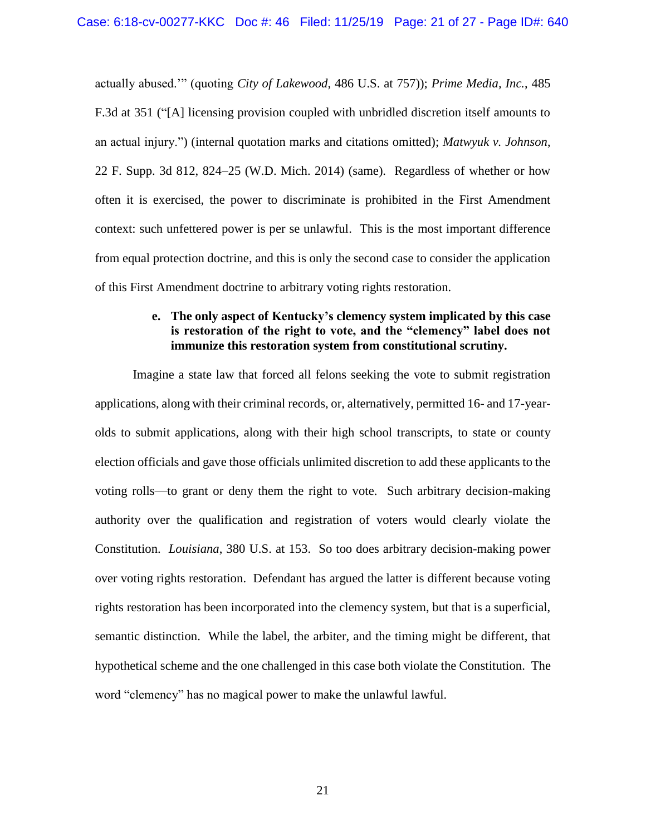actually abused.'" (quoting *City of Lakewood*, 486 U.S. at 757)); *Prime Media, Inc.*, 485 F.3d at 351 ("[A] licensing provision coupled with unbridled discretion itself amounts to an actual injury.") (internal quotation marks and citations omitted); *Matwyuk v. Johnson*, 22 F. Supp. 3d 812, 824–25 (W.D. Mich. 2014) (same). Regardless of whether or how often it is exercised, the power to discriminate is prohibited in the First Amendment context: such unfettered power is per se unlawful. This is the most important difference from equal protection doctrine, and this is only the second case to consider the application of this First Amendment doctrine to arbitrary voting rights restoration.

# **e. The only aspect of Kentucky's clemency system implicated by this case is restoration of the right to vote, and the "clemency" label does not immunize this restoration system from constitutional scrutiny.**

Imagine a state law that forced all felons seeking the vote to submit registration applications, along with their criminal records, or, alternatively, permitted 16- and 17-yearolds to submit applications, along with their high school transcripts, to state or county election officials and gave those officials unlimited discretion to add these applicants to the voting rolls—to grant or deny them the right to vote. Such arbitrary decision-making authority over the qualification and registration of voters would clearly violate the Constitution. *Louisiana*, 380 U.S. at 153. So too does arbitrary decision-making power over voting rights restoration. Defendant has argued the latter is different because voting rights restoration has been incorporated into the clemency system, but that is a superficial, semantic distinction. While the label, the arbiter, and the timing might be different, that hypothetical scheme and the one challenged in this case both violate the Constitution. The word "clemency" has no magical power to make the unlawful lawful.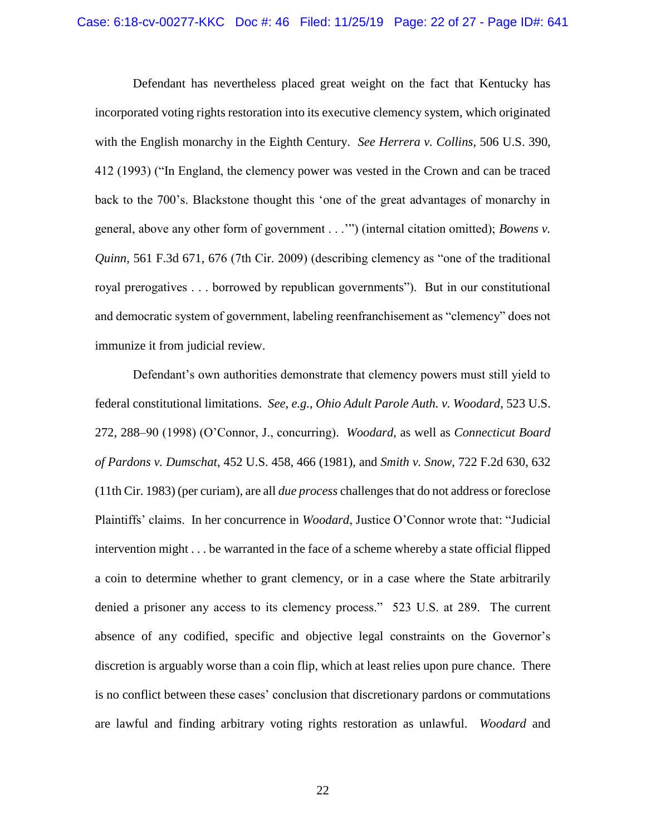Defendant has nevertheless placed great weight on the fact that Kentucky has incorporated voting rights restoration into its executive clemency system, which originated with the English monarchy in the Eighth Century. *See Herrera v. Collins*, 506 U.S. 390, 412 (1993) ("In England, the clemency power was vested in the Crown and can be traced back to the 700's. Blackstone thought this 'one of the great advantages of monarchy in general, above any other form of government . . .'") (internal citation omitted); *Bowens v. Quinn*, 561 F.3d 671, 676 (7th Cir. 2009) (describing clemency as "one of the traditional royal prerogatives . . . borrowed by republican governments"). But in our constitutional and democratic system of government, labeling reenfranchisement as "clemency" does not immunize it from judicial review.

Defendant's own authorities demonstrate that clemency powers must still yield to federal constitutional limitations. *See, e.g.*, *Ohio Adult Parole Auth. v. Woodard*, 523 U.S. 272, 288–90 (1998) (O'Connor, J., concurring). *Woodard*, as well as *Connecticut Board of Pardons v. Dumschat*, 452 U.S. 458, 466 (1981), and *Smith v. Snow*, 722 F.2d 630, 632 (11th Cir. 1983) (per curiam), are all *due process* challenges that do not address or foreclose Plaintiffs' claims. In her concurrence in *Woodard*, Justice O'Connor wrote that: "Judicial intervention might . . . be warranted in the face of a scheme whereby a state official flipped a coin to determine whether to grant clemency, or in a case where the State arbitrarily denied a prisoner any access to its clemency process." 523 U.S. at 289. The current absence of any codified, specific and objective legal constraints on the Governor's discretion is arguably worse than a coin flip, which at least relies upon pure chance. There is no conflict between these cases' conclusion that discretionary pardons or commutations are lawful and finding arbitrary voting rights restoration as unlawful. *Woodard* and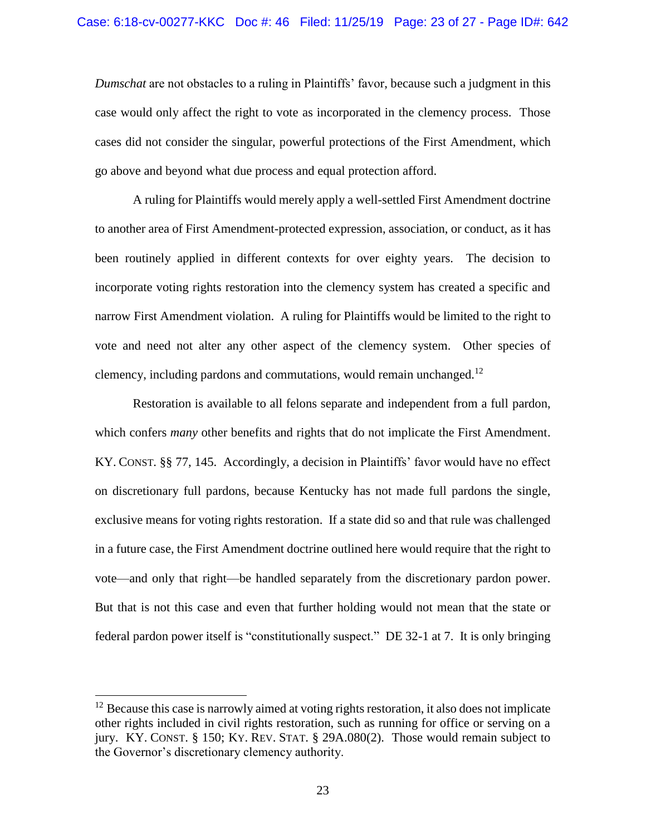*Dumschat* are not obstacles to a ruling in Plaintiffs' favor, because such a judgment in this case would only affect the right to vote as incorporated in the clemency process. Those cases did not consider the singular, powerful protections of the First Amendment, which go above and beyond what due process and equal protection afford.

A ruling for Plaintiffs would merely apply a well-settled First Amendment doctrine to another area of First Amendment-protected expression, association, or conduct, as it has been routinely applied in different contexts for over eighty years. The decision to incorporate voting rights restoration into the clemency system has created a specific and narrow First Amendment violation. A ruling for Plaintiffs would be limited to the right to vote and need not alter any other aspect of the clemency system. Other species of clemency, including pardons and commutations, would remain unchanged.<sup>12</sup>

Restoration is available to all felons separate and independent from a full pardon, which confers *many* other benefits and rights that do not implicate the First Amendment. KY. CONST. §§ 77, 145. Accordingly, a decision in Plaintiffs' favor would have no effect on discretionary full pardons, because Kentucky has not made full pardons the single, exclusive means for voting rights restoration. If a state did so and that rule was challenged in a future case, the First Amendment doctrine outlined here would require that the right to vote—and only that right—be handled separately from the discretionary pardon power. But that is not this case and even that further holding would not mean that the state or federal pardon power itself is "constitutionally suspect." DE 32-1 at 7. It is only bringing

 $\overline{\phantom{a}}$ 

 $12$  Because this case is narrowly aimed at voting rights restoration, it also does not implicate other rights included in civil rights restoration, such as running for office or serving on a jury. KY. CONST. § 150; KY. REV. STAT. § 29A.080(2). Those would remain subject to the Governor's discretionary clemency authority.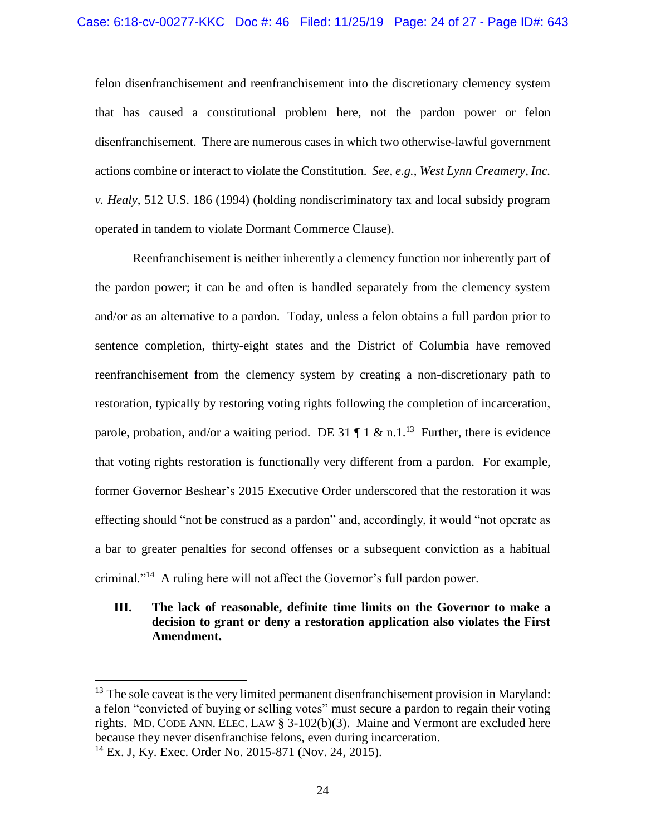felon disenfranchisement and reenfranchisement into the discretionary clemency system that has caused a constitutional problem here, not the pardon power or felon disenfranchisement. There are numerous cases in which two otherwise-lawful government actions combine or interact to violate the Constitution. *See, e.g.*, *West Lynn Creamery, Inc. v. Healy*, 512 U.S. 186 (1994) (holding nondiscriminatory tax and local subsidy program operated in tandem to violate Dormant Commerce Clause).

Reenfranchisement is neither inherently a clemency function nor inherently part of the pardon power; it can be and often is handled separately from the clemency system and/or as an alternative to a pardon. Today, unless a felon obtains a full pardon prior to sentence completion, thirty-eight states and the District of Columbia have removed reenfranchisement from the clemency system by creating a non-discretionary path to restoration, typically by restoring voting rights following the completion of incarceration, parole, probation, and/or a waiting period. DE 31  $\P$  1 & n.1.<sup>13</sup> Further, there is evidence that voting rights restoration is functionally very different from a pardon. For example, former Governor Beshear's 2015 Executive Order underscored that the restoration it was effecting should "not be construed as a pardon" and, accordingly, it would "not operate as a bar to greater penalties for second offenses or a subsequent conviction as a habitual criminal."<sup>14</sup> A ruling here will not affect the Governor's full pardon power.

# **III. The lack of reasonable, definite time limits on the Governor to make a decision to grant or deny a restoration application also violates the First Amendment.**

 $\overline{\phantom{a}}$ 

<sup>&</sup>lt;sup>13</sup> The sole caveat is the very limited permanent disenfranchisement provision in Maryland: a felon "convicted of buying or selling votes" must secure a pardon to regain their voting rights. MD. CODE ANN. ELEC. LAW § 3-102(b)(3). Maine and Vermont are excluded here because they never disenfranchise felons, even during incarceration.

<sup>14</sup> Ex. J, Ky. Exec. Order No. 2015-871 (Nov. 24, 2015).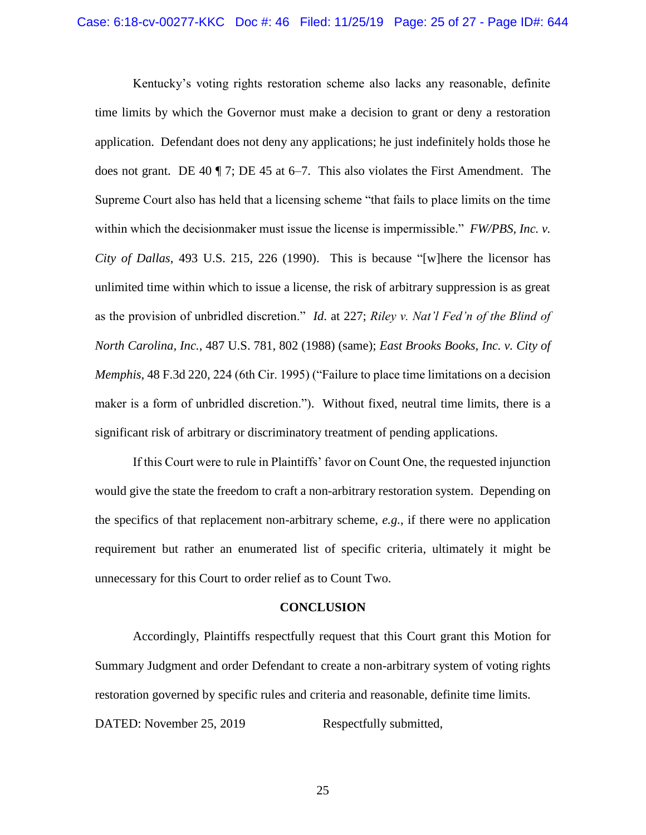Kentucky's voting rights restoration scheme also lacks any reasonable, definite time limits by which the Governor must make a decision to grant or deny a restoration application. Defendant does not deny any applications; he just indefinitely holds those he does not grant. DE 40 ¶ 7; DE 45 at 6–7. This also violates the First Amendment. The Supreme Court also has held that a licensing scheme "that fails to place limits on the time within which the decisionmaker must issue the license is impermissible." *FW/PBS, Inc. v. City of Dallas*, 493 U.S. 215, 226 (1990). This is because "[w]here the licensor has unlimited time within which to issue a license, the risk of arbitrary suppression is as great as the provision of unbridled discretion." *Id*. at 227; *Riley v. Nat'l Fed'n of the Blind of North Carolina, Inc.*, 487 U.S. 781, 802 (1988) (same); *East Brooks Books, Inc. v. City of Memphis*, 48 F.3d 220, 224 (6th Cir. 1995) ("Failure to place time limitations on a decision maker is a form of unbridled discretion."). Without fixed, neutral time limits, there is a significant risk of arbitrary or discriminatory treatment of pending applications.

If this Court were to rule in Plaintiffs' favor on Count One, the requested injunction would give the state the freedom to craft a non-arbitrary restoration system. Depending on the specifics of that replacement non-arbitrary scheme, *e.g.*, if there were no application requirement but rather an enumerated list of specific criteria, ultimately it might be unnecessary for this Court to order relief as to Count Two.

#### **CONCLUSION**

Accordingly, Plaintiffs respectfully request that this Court grant this Motion for Summary Judgment and order Defendant to create a non-arbitrary system of voting rights restoration governed by specific rules and criteria and reasonable, definite time limits. DATED: November 25, 2019 Respectfully submitted,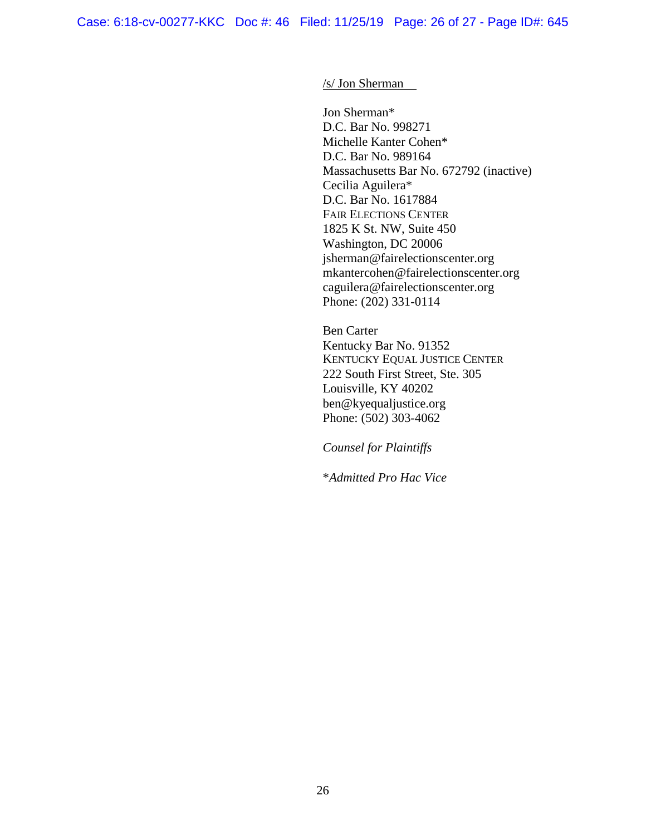#### /s/ Jon Sherman

Jon Sherman\* D.C. Bar No. 998271 Michelle Kanter Cohen\* D.C. Bar No. 989164 Massachusetts Bar No. 672792 (inactive) Cecilia Aguilera\* D.C. Bar No. 1617884 FAIR ELECTIONS CENTER 1825 K St. NW, Suite 450 Washington, DC 20006 jsherman@fairelectionscenter.org mkantercohen@fairelectionscenter.org caguilera@fairelectionscenter.org Phone: (202) 331-0114

Ben Carter Kentucky Bar No. 91352 KENTUCKY EQUAL JUSTICE CENTER 222 South First Street, Ste. 305 Louisville, KY 40202 ben@kyequaljustice.org Phone: (502) 303-4062

*Counsel for Plaintiffs*

\**Admitted Pro Hac Vice*